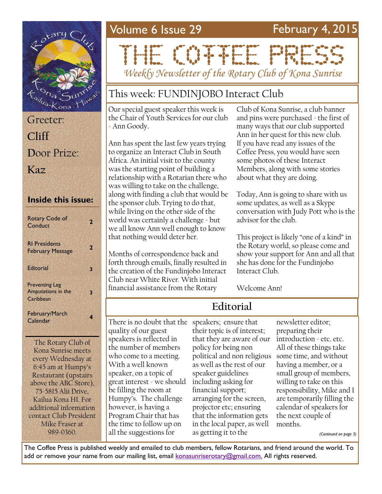| Greeter:    |  |
|-------------|--|
| Cliff       |  |
| Door Prize: |  |
| Kaz         |  |

#### **Inside this issue:**

| <b>Rotary Code of</b><br>Conduct                         | 7 |
|----------------------------------------------------------|---|
| <b>RI Presidents</b><br><b>February Message</b>          | 2 |
| Editorial                                                | з |
| <b>Preventing Leg</b><br>Amputations in the<br>Caribbean | 3 |
| February/March<br>Calendar                               |   |

The Rotary Club of Kona Sunrise meets every Wednesday at 6:45 am at Humpy's Restaurant (upstairs above the ABC Store), 75-5815 Alii Drive, Kailua Kona HI. For additional information contact Club President Mike Fraser at 989-0360.

## Volume 6 Issue 29 February 4, 2015

# THE CONFIDENTIAL

*Weekly Newsletter of the Rotary Club of Kona Sunrise*

## This week: FUNDINJOBO Interact Club

Our special guest speaker this week is the Chair of Youth Services for our club - Ann Goody.

Ann has spent the last few years trying to organize an Interact Club in South Africa. An initial visit to the county was the starting point of building a relationship with a Rotarian there who was willing to take on the challenge, along with finding a club that would be the sponsor club. Trying to do that, while living on the other side of the world was certainly a challenge - but we all know Ann well enough to know that nothing would deter her.

Months of correspondence back and forth through emails, finally resulted in the creation of the Fundinjobo Interact Club near White River. With initial financial assistance from the Rotary

Club of Kona Sunrise, a club banner and pins were purchased - the first of many ways that our club supported Ann in her quest for this new club. If you have read any issues of the Coffee Press, you would have seen some photos of these Interact Members, along with some stories about what they are doing.

Today, Ann is going to share with us some updates, as well as a Skype conversation with Judy Pott who is the advisor for the club.

This project is likely "one of a kind" in the Rotary world, so please come and show your support for Ann and all that she has done for the Fundinjobo Interact Club.

Welcome Ann!

## **Editorial**

There is no doubt that the speakers; ensure that quality of our guest speakers is reflected in the number of members who come to a meeting. With a well known speaker, on a topic of great interest - we should be filling the room at Humpy's. The challenge however, is having a Program Chair that has the time to follow up on all the suggestions for

their topic is of interest; that they are aware of our introduction - etc. etc. policy for being non political and non religious as well as the rest of our speaker guidelines including asking for financial support; arranging for the screen, projector etc; ensuring that the information gets in the local paper, as well as getting it to the

newsletter editor; preparing their All of these things take some time, and without having a member, or a small group of members, willing to take on this responsibility, Mike and I are temporarily filling the calendar of speakers for the next couple of months.

*(Continued on page 3)*

The Coffee Press is published weekly and emailed to club members, fellow Rotarians, and friend around the world. To add or remove your name from our mailing list, email [konasunriserotary@gmail.com.](mailto:konasunriserotary@gmail.com.) All rights reserved.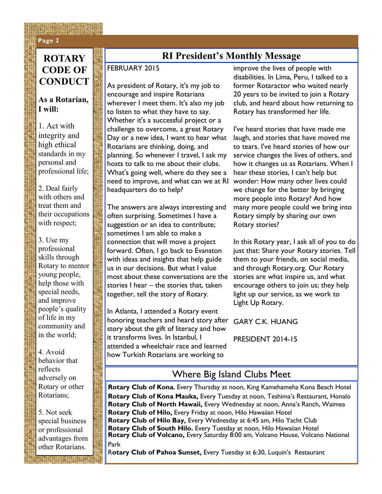#### **Page 2 Page 2**

## **CODE OF CONDUCT**

#### **As a Rotarian, I will:**

1. Act with integrity and high ethical standards in my personal and professional life;

2. Deal fairly with others and treat them and their occupations with respect;

3. Use my professional skills through Rotary to mentor young people, help those with special needs, and improve people's quality of life in my community and in the world;

4. Avoid behavior that reflects adversely on Rotary or other Rotarians;

5. Not seek special business or professional advantages from other Rotarians.

### **ROTARY FORECALL RI President's Monthly Message**

#### FEBRUARY 2015

As president of Rotary, it's my job to encourage and inspire Rotarians wherever I meet them. It's also my job to listen to what they have to say. Whether it's a successful project or a challenge to overcome, a great Rotary Day or a new idea, I want to hear what Rotarians are thinking, doing, and planning. So whenever I travel, I ask my hosts to talk to me about their clubs. What's going well, where do they see a need to improve, and what can we at RI headquarters do to help?

The answers are always interesting and often surprising. Sometimes I have a suggestion or an idea to contribute; sometimes I am able to make a connection that will move a project forward. Often, I go back to Evanston with ideas and insights that help guide us in our decisions. But what I value most about these conversations are the stories I hear – the stories that, taken together, tell the story of Rotary.

In Atlanta, I attended a Rotary event honoring teachers and heard story after story about the gift of literacy and how it transforms lives. In Istanbul, I attended a wheelchair race and learned how Turkish Rotarians are working to

improve the lives of people with disabilities. In Lima, Peru, I talked to a former Rotaractor who waited nearly 20 years to be invited to join a Rotary club, and heard about how returning to Rotary has transformed her life.

I've heard stories that have made me laugh, and stories that have moved me to tears. I've heard stories of how our service changes the lives of others, and how it changes us as Rotarians. When I hear these stories, I can't help but wonder: How many other lives could we change for the better by bringing more people into Rotary? And how many more people could we bring into Rotary simply by sharing our own Rotary stories?

In this Rotary year, I ask all of you to do just that: Share your Rotary stories. Tell them to your friends, on social media, and through Rotary.org. Our Rotary stories are what inspire us, and what encourage others to join us; they help light up our service, as we work to Light Up Rotary.

GARY C.K. HUANG

PRESIDENT 2014-15

#### Where Big Island Clubs Meet

**Rotary Club of Kona**, Every Thursday at noon, King Kamehameha Kona Beach Hotel **Rotary Club of Kona Mauka,** Every Tuesday at noon, Teshima's Restaurant, Honalo **Rotary Club of North Hawaii,** Every Wednesday at noon, Anna's Ranch, Waimea **Rotary Club of Hilo,** Every Friday at noon, Hilo Hawaiian Hotel **Rotary Club of Hilo Bay,** Every Wednesday at 6:45 am, Hilo Yacht Club **Rotary Club of South Hilo.** Every Tuesday at noon, Hilo Hawaiian Hotel **Rotary Club of Volcano,** Every Saturday 8:00 am, Volcano House, Volcano National Park

R**otary Club of Pahoa Sunset,** Every Tuesday at 6:30, Luquin's Restaurant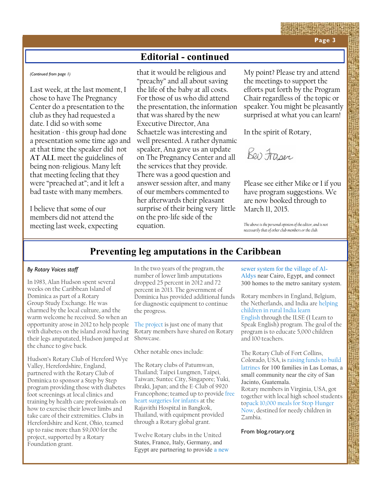#### **Editorial - continued**

*(Continued from page 1)*

Last week, at the last moment, I chose to have The Pregnancy Center do a presentation to the club as they had requested a date. I did so with some hesitation - this group had done a presentation some time ago and at that time the speaker did not **AT ALL** meet the guidelines of being non-religious. Many left that meeting feeling that they were "preached at"; and it left a bad taste with many members.

I believe that some of our members did not attend the meeting last week, expecting

that it would be religious and "preachy" and all about saving the life of the baby at all costs. For those of us who did attend the presentation, the information that was shared by the new Executive Director, Ana Schaetzle was interesting and well presented. A rather dynamic speaker, Ana gave us an update on The Pregnancy Center and all the services that they provide. There was a good question and answer session after, and many of our members commented to her afterwards their pleasant surprise of their being very little on the pro-life side of the equation.

My point? Please try and attend the meetings to support the efforts put forth by the Program Chair regardless of the topic or speaker. You might be pleasantly surprised at what you can learn!

In the spirit of Rotary,

Bei Fraser

Please see either Mike or I if you have program suggestions. We are now booked through to March 11, 2015.

*The above is the personal opinion of the editor, and is not necessarily that of other club members or the club.*

#### **Preventing leg amputations in the Caribbean**

#### *By Rotary Voices staff*

In 1983, Alan Hudson spent several weeks on the Caribbean Island of Dominica as part of a Rotary Group Study Exchange. He was charmed by the local culture, and the warm welcome he received. So when an opportunity arose in 2012 to help people with diabetes on the island avoid having their legs amputated, Hudson jumped at the chance to give back.

Hudson's Rotary Club of Hereford Wye Valley, Herefordshire, England, partnered with the Rotary Club of Dominica to sponsor a Step by Step program providing those with diabetes foot screenings at local clinics and training by health care professionals on how to exercise their lower limbs and take care of their extremities. Clubs in Herefordshire and Kent, Ohio, teamed up to raise more than \$9,000 for the project, supported by a Rotary Foundation grant.

In the two years of the program, the number of lower limb amputations dropped 25 percent in 2012 and 72 percent in 2013. The government of Dominica has provided additional funds for diagnostic equipment to continue the progress.

[The project](http://map.rotary.org/en/project/pages/project_detail.aspx?guid=e44382cd-730f-4160-9150-532a407f4012) is just one of many that Rotary members have shared on Rotary Showcase.

Other notable ones include:

The Rotary clubs of Patumwan, Thailand; Taipei Lungmen, Taipei, Taiwan; Suntec City, Singapore; Yuki, Ibraki, Japan; and the E-Club of 9920 Francophone; teamed up to provide [free](http://map.rotary.org/en/project/pages/project_detail.aspx?guid=552950F4-456B-4E99-A3D9-45D7118C5D2F)  [heart surgeries for infants](http://map.rotary.org/en/project/pages/project_detail.aspx?guid=552950F4-456B-4E99-A3D9-45D7118C5D2F) at the Rajavithi Hospital in Bangkok, Thailand, with equipment provided through a Rotary global grant.

Twelve Rotary clubs in the United States, France, Italy, Germany, and Egypt are partnering to provide [a new](http://map.rotary.org/en/project/pages/project_detail.aspx?guid=CE1CA02F-9651-4B5D-B679-07A1BF2E8BF9)  [sewer system for the village of Al](http://map.rotary.org/en/project/pages/project_detail.aspx?guid=CE1CA02F-9651-4B5D-B679-07A1BF2E8BF9)-[Aldys](http://map.rotary.org/en/project/pages/project_detail.aspx?guid=CE1CA02F-9651-4B5D-B679-07A1BF2E8BF9) near Cairo, Egypt, and connect 300 homes to the metro sanitary system.

Rotary members in England, Belgium, the Netherlands, and India are [helping](http://map.rotary.org/en/project/pages/project_detail.aspx?guid=D769B407-CB3B-4958-926B-47AAE81275E4)  [children in rural India learn](http://map.rotary.org/en/project/pages/project_detail.aspx?guid=D769B407-CB3B-4958-926B-47AAE81275E4)  [English](http://map.rotary.org/en/project/pages/project_detail.aspx?guid=D769B407-CB3B-4958-926B-47AAE81275E4) through the ILSE (I Learn to Speak English) program. The goal of the program is to educate 5,000 children and 100 teachers.

The Rotary Club of Fort Collins, Colorado, USA, is [raising funds to build](http://map.rotary.org/en/project/pages/project_detail.aspx?guid=005D29B2-F833-4D37-BFA8-7B12F4F543B5)  [latrines](http://map.rotary.org/en/project/pages/project_detail.aspx?guid=005D29B2-F833-4D37-BFA8-7B12F4F543B5) for 100 families in Las Lomas, a small community near the city of San Jacinto, Guatemala. Rotary members in Virginia, USA, got together with local high school students to[pack 10,000 meals for Stop Hunger](http://map.rotary.org/en/project/pages/project_detail.aspx?guid=EFE12EC2-F61B-40EE-9EEC-F7711DE74244)  [Now,](http://map.rotary.org/en/project/pages/project_detail.aspx?guid=EFE12EC2-F61B-40EE-9EEC-F7711DE74244) destined for needy children in Zambia.

From blog.rotary.org